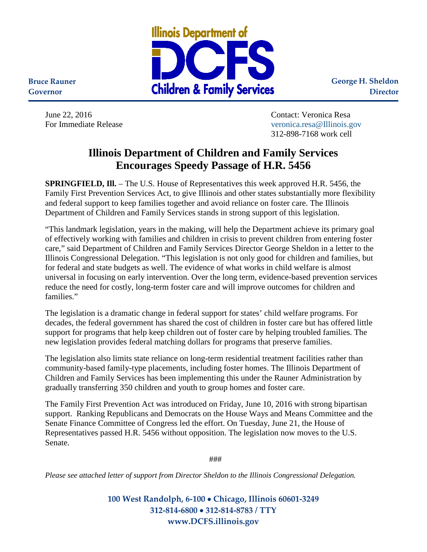

**George H. Sheldon Director**

**Bruce Rauner Governor**

June 22, 2016 Contact: Veronica Resa For Immediate Release [veronica.resa@Illinois.gov](mailto:veronica.resa@Illinois.gov) 312-898-7168 work cell

## **Illinois Department of Children and Family Services Encourages Speedy Passage of H.R. 5456**

**SPRINGFIELD, Ill.** – The U.S. House of Representatives this week approved H.R. 5456, the Family First Prevention Services Act, to give Illinois and other states substantially more flexibility and federal support to keep families together and avoid reliance on foster care. The Illinois Department of Children and Family Services stands in strong support of this legislation.

"This landmark legislation, years in the making, will help the Department achieve its primary goal of effectively working with families and children in crisis to prevent children from entering foster care," said Department of Children and Family Services Director George Sheldon in a letter to the Illinois Congressional Delegation. "This legislation is not only good for children and families, but for federal and state budgets as well. The evidence of what works in child welfare is almost universal in focusing on early intervention. Over the long term, evidence-based prevention services reduce the need for costly, long-term foster care and will improve outcomes for children and families."

The legislation is a dramatic change in federal support for states' child welfare programs. For decades, the federal government has shared the cost of children in foster care but has offered little support for programs that help keep children out of foster care by helping troubled families. The new legislation provides federal matching dollars for programs that preserve families.

The legislation also limits state reliance on long-term residential treatment facilities rather than community-based family-type placements, including foster homes. The Illinois Department of Children and Family Services has been implementing this under the Rauner Administration by gradually transferring 350 children and youth to group homes and foster care.

The Family First Prevention Act was introduced on Friday, June 10, 2016 with strong bipartisan support. Ranking Republicans and Democrats on the House Ways and Means Committee and the Senate Finance Committee of Congress led the effort. On Tuesday, June 21, the House of Representatives passed H.R. 5456 without opposition. The legislation now moves to the U.S. Senate.

###

*Please see attached letter of support from Director Sheldon to the Illinois Congressional Delegation.* 

**100 West Randolph, 6-100** • **Chicago, Illinois 60601-3249 312-814-6800** • **312-814-8783 / TTY www.DCFS.illinois.gov**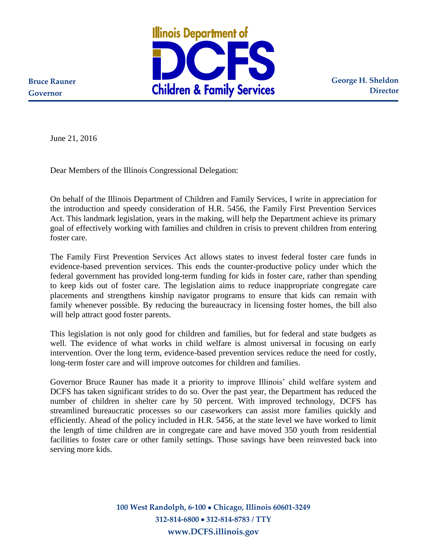

**George H. Sheldon Director**

**Bruce Rauner Governor**

June 21, 2016

Dear Members of the Illinois Congressional Delegation:

On behalf of the Illinois Department of Children and Family Services, I write in appreciation for the introduction and speedy consideration of H.R. 5456, the Family First Prevention Services Act. This landmark legislation, years in the making, will help the Department achieve its primary goal of effectively working with families and children in crisis to prevent children from entering foster care.

The Family First Prevention Services Act allows states to invest federal foster care funds in evidence-based prevention services. This ends the counter-productive policy under which the federal government has provided long-term funding for kids in foster care, rather than spending to keep kids out of foster care. The legislation aims to reduce inappropriate congregate care placements and strengthens kinship navigator programs to ensure that kids can remain with family whenever possible. By reducing the bureaucracy in licensing foster homes, the bill also will help attract good foster parents.

This legislation is not only good for children and families, but for federal and state budgets as well. The evidence of what works in child welfare is almost universal in focusing on early intervention. Over the long term, evidence-based prevention services reduce the need for costly, long-term foster care and will improve outcomes for children and families.

Governor Bruce Rauner has made it a priority to improve Illinois' child welfare system and DCFS has taken significant strides to do so. Over the past year, the Department has reduced the number of children in shelter care by 50 percent. With improved technology, DCFS has streamlined bureaucratic processes so our caseworkers can assist more families quickly and efficiently. Ahead of the policy included in H.R. 5456, at the state level we have worked to limit the length of time children are in congregate care and have moved 350 youth from residential facilities to foster care or other family settings. Those savings have been reinvested back into serving more kids.

> **100 West Randolph, 6-100 Chicago, Illinois 60601-3249 312-814-6800 312-814-8783 / TTY www.DCFS.illinois.gov**